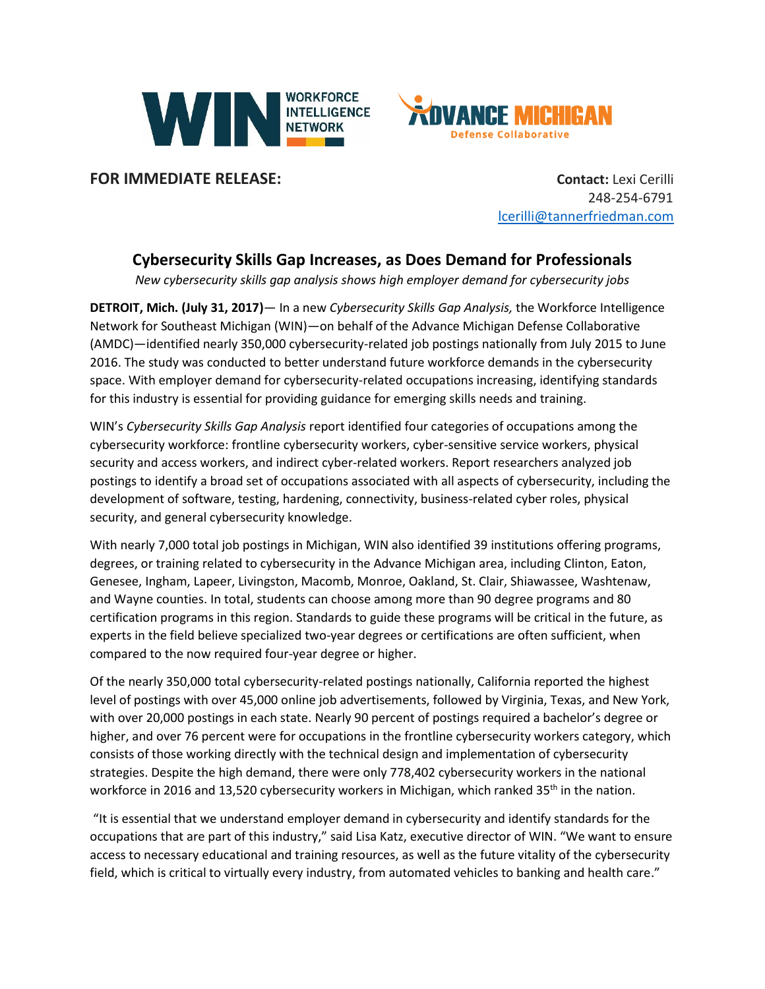



**FOR IMMEDIATE RELEASE:**<br> **Contact:** Lexi Cerilli

248-254-6791 [lcerilli@tannerfriedman.com](mailto:lcerilli@tannerfriedman.com)

## **Cybersecurity Skills Gap Increases, as Does Demand for Professionals**

*New cybersecurity skills gap analysis shows high employer demand for cybersecurity jobs*

**DETROIT, Mich. (July 31, 2017)**— In a new *Cybersecurity Skills Gap Analysis,* the Workforce Intelligence Network for Southeast Michigan (WIN)—on behalf of the Advance Michigan Defense Collaborative (AMDC)—identified nearly 350,000 cybersecurity-related job postings nationally from July 2015 to June 2016. The study was conducted to better understand future workforce demands in the cybersecurity space. With employer demand for cybersecurity-related occupations increasing, identifying standards for this industry is essential for providing guidance for emerging skills needs and training.

WIN's *Cybersecurity Skills Gap Analysis* report identified four categories of occupations among the cybersecurity workforce: frontline cybersecurity workers, cyber-sensitive service workers, physical security and access workers, and indirect cyber-related workers. Report researchers analyzed job postings to identify a broad set of occupations associated with all aspects of cybersecurity, including the development of software, testing, hardening, connectivity, business-related cyber roles, physical security, and general cybersecurity knowledge.

With nearly 7,000 total job postings in Michigan, WIN also identified 39 institutions offering programs, degrees, or training related to cybersecurity in the Advance Michigan area, including Clinton, Eaton, Genesee, Ingham, Lapeer, Livingston, Macomb, Monroe, Oakland, St. Clair, Shiawassee, Washtenaw, and Wayne counties. In total, students can choose among more than 90 degree programs and 80 certification programs in this region. Standards to guide these programs will be critical in the future, as experts in the field believe specialized two-year degrees or certifications are often sufficient, when compared to the now required four-year degree or higher.

Of the nearly 350,000 total cybersecurity-related postings nationally, California reported the highest level of postings with over 45,000 online job advertisements, followed by Virginia, Texas, and New York, with over 20,000 postings in each state. Nearly 90 percent of postings required a bachelor's degree or higher, and over 76 percent were for occupations in the frontline cybersecurity workers category, which consists of those working directly with the technical design and implementation of cybersecurity strategies. Despite the high demand, there were only 778,402 cybersecurity workers in the national workforce in 2016 and 13,520 cybersecurity workers in Michigan, which ranked 35<sup>th</sup> in the nation.

"It is essential that we understand employer demand in cybersecurity and identify standards for the occupations that are part of this industry," said Lisa Katz, executive director of WIN. "We want to ensure access to necessary educational and training resources, as well as the future vitality of the cybersecurity field, which is critical to virtually every industry, from automated vehicles to banking and health care."